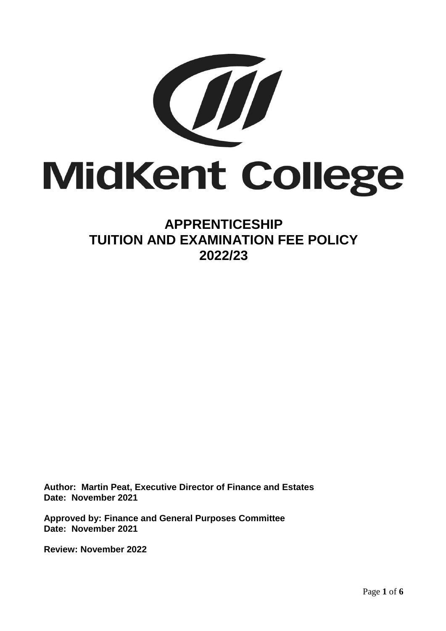

# **APPRENTICESHIP TUITION AND EXAMINATION FEE POLICY 2022/23**

**Author: Martin Peat, Executive Director of Finance and Estates Date: November 2021**

**Approved by: Finance and General Purposes Committee Date: November 2021**

**Review: November 2022**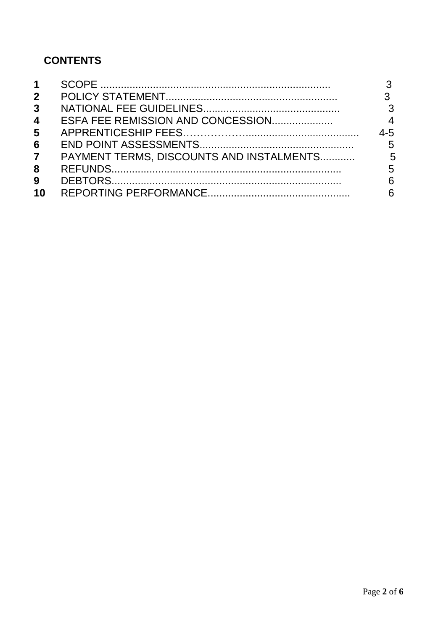# **CONTENTS**

| 1              |                                          |                         |
|----------------|------------------------------------------|-------------------------|
| $\mathbf{2}$   |                                          | 3                       |
| 3 <sup>1</sup> |                                          | $\overline{\mathbf{3}}$ |
| 4              |                                          | $\overline{4}$          |
| 5              |                                          | $4 - 5$                 |
| 6              |                                          | 5                       |
| $\overline{7}$ | PAYMENT TERMS, DISCOUNTS AND INSTALMENTS | 5                       |
| 8              |                                          | 5                       |
| 9              |                                          | 6                       |
| 10             |                                          | 6                       |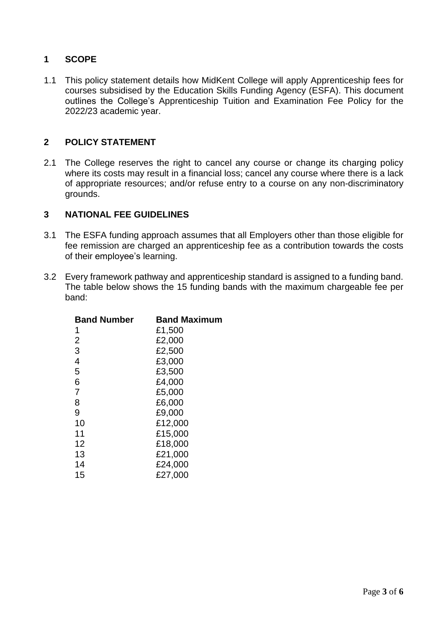# **1 SCOPE**

1.1 This policy statement details how MidKent College will apply Apprenticeship fees for courses subsidised by the Education Skills Funding Agency (ESFA). This document outlines the College's Apprenticeship Tuition and Examination Fee Policy for the 2022/23 academic year.

#### **2 POLICY STATEMENT**

2.1 The College reserves the right to cancel any course or change its charging policy where its costs may result in a financial loss; cancel any course where there is a lack of appropriate resources; and/or refuse entry to a course on any non-discriminatory grounds.

#### **3 NATIONAL FEE GUIDELINES**

- 3.1 The ESFA funding approach assumes that all Employers other than those eligible for fee remission are charged an apprenticeship fee as a contribution towards the costs of their employee's learning.
- 3.2 Every framework pathway and apprenticeship standard is assigned to a funding band. The table below shows the 15 funding bands with the maximum chargeable fee per band:

| <b>Band Number</b> | <b>Band Maximum</b> |  |  |
|--------------------|---------------------|--|--|
| 1                  | £1,500              |  |  |
| $\overline{2}$     | £2,000              |  |  |
| 3                  | £2,500              |  |  |
| 4                  | £3,000              |  |  |
| 5                  | £3,500              |  |  |
| 6                  | £4,000              |  |  |
| $\overline{7}$     | £5,000              |  |  |
| 8                  | £6,000              |  |  |
| 9                  | £9,000              |  |  |
| 10                 | £12,000             |  |  |
| 11                 | £15,000             |  |  |
| 12                 | £18,000             |  |  |
| 13                 | £21,000             |  |  |
| 14                 | £24,000             |  |  |
| 15                 | £27,000             |  |  |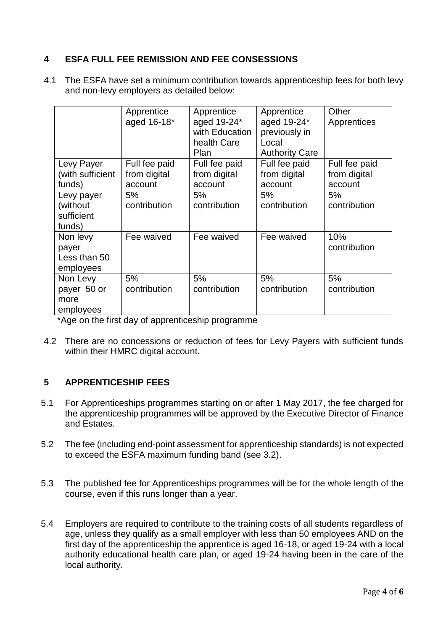# **4 ESFA FULL FEE REMISSION AND FEE CONSESSIONS**

4.1 The ESFA have set a minimum contribution towards apprenticeship fees for both levy and non-levy employers as detailed below:

|                                                | Apprentice<br>aged 16-18*                | Apprentice<br>aged 19-24*<br>with Education<br>health Care<br>Plan | Apprentice<br>aged 19-24*<br>previously in<br>Local<br><b>Authority Care</b> | Other<br>Apprentices                     |
|------------------------------------------------|------------------------------------------|--------------------------------------------------------------------|------------------------------------------------------------------------------|------------------------------------------|
| Levy Payer<br>(with sufficient<br>funds)       | Full fee paid<br>from digital<br>account | Full fee paid<br>from digital<br>account                           | Full fee paid<br>from digital<br>account                                     | Full fee paid<br>from digital<br>account |
| Levy payer<br>(without<br>sufficient<br>funds) | 5%<br>contribution                       | 5%<br>contribution                                                 | 5%<br>contribution                                                           | 5%<br>contribution                       |
| Non levy<br>payer<br>Less than 50<br>employees | Fee waived                               | Fee waived                                                         | Fee waived                                                                   | 10%<br>contribution                      |
| Non Levy<br>payer 50 or<br>more<br>employees   | 5%<br>contribution                       | 5%<br>contribution                                                 | 5%<br>contribution                                                           | 5%<br>contribution                       |

\*Age on the first day of apprenticeship programme

4.2 There are no concessions or reduction of fees for Levy Payers with sufficient funds within their HMRC digital account.

# **5 APPRENTICESHIP FEES**

- 5.1 For Apprenticeships programmes starting on or after 1 May 2017, the fee charged for the apprenticeship programmes will be approved by the Executive Director of Finance and Estates.
- 5.2 The fee (including end-point assessment for apprenticeship standards) is not expected to exceed the ESFA maximum funding band (see 3.2).
- 5.3 The published fee for Apprenticeships programmes will be for the whole length of the course, even if this runs longer than a year.
- 5.4 Employers are required to contribute to the training costs of all students regardless of age, unless they qualify as a small employer with less than 50 employees AND on the first day of the apprenticeship the apprentice is aged 16-18, or aged 19-24 with a local authority educational health care plan, or aged 19-24 having been in the care of the local authority.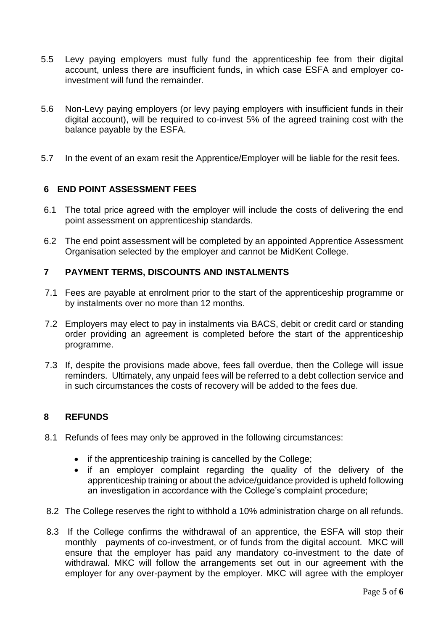- 5.5 Levy paying employers must fully fund the apprenticeship fee from their digital account, unless there are insufficient funds, in which case ESFA and employer coinvestment will fund the remainder.
- 5.6 Non-Levy paying employers (or levy paying employers with insufficient funds in their digital account), will be required to co-invest 5% of the agreed training cost with the balance payable by the ESFA.
- 5.7 In the event of an exam resit the Apprentice/Employer will be liable for the resit fees.

## **6 END POINT ASSESSMENT FEES**

- 6.1 The total price agreed with the employer will include the costs of delivering the end point assessment on apprenticeship standards.
- 6.2 The end point assessment will be completed by an appointed Apprentice Assessment Organisation selected by the employer and cannot be MidKent College.

#### **7 PAYMENT TERMS, DISCOUNTS AND INSTALMENTS**

- 7.1 Fees are payable at enrolment prior to the start of the apprenticeship programme or by instalments over no more than 12 months.
- 7.2 Employers may elect to pay in instalments via BACS, debit or credit card or standing order providing an agreement is completed before the start of the apprenticeship programme.
- 7.3 If, despite the provisions made above, fees fall overdue, then the College will issue reminders. Ultimately, any unpaid fees will be referred to a debt collection service and in such circumstances the costs of recovery will be added to the fees due.

#### **8 REFUNDS**

- 8.1 Refunds of fees may only be approved in the following circumstances:
	- if the apprenticeship training is cancelled by the College;
	- if an employer complaint regarding the quality of the delivery of the apprenticeship training or about the advice/guidance provided is upheld following an investigation in accordance with the College's complaint procedure;
- 8.2 The College reserves the right to withhold a 10% administration charge on all refunds.
- 8.3 If the College confirms the withdrawal of an apprentice, the ESFA will stop their monthly payments of co-investment, or of funds from the digital account. MKC will ensure that the employer has paid any mandatory co-investment to the date of withdrawal. MKC will follow the arrangements set out in our agreement with the employer for any over-payment by the employer. MKC will agree with the employer